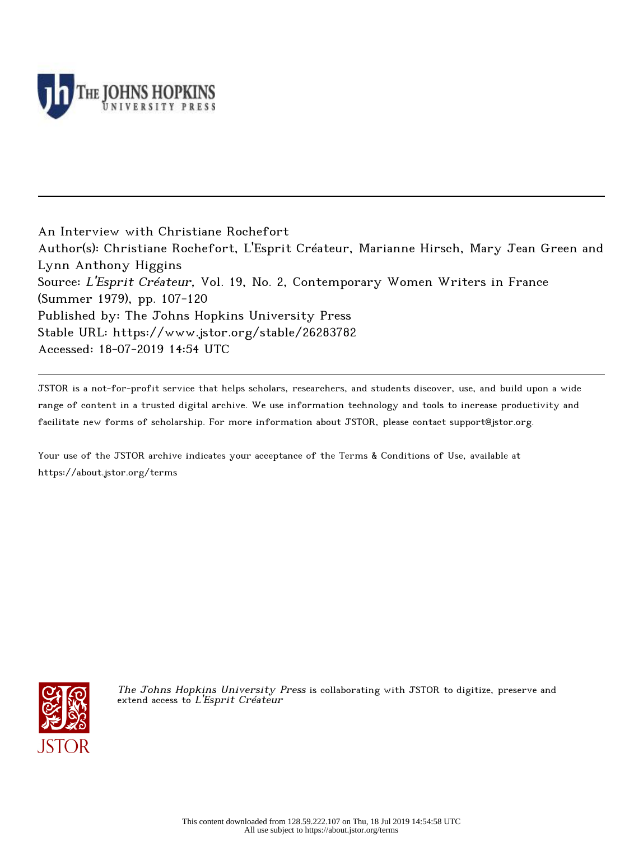

An Interview with Christiane Rochefort Author(s): Christiane Rochefort, L'Esprit Créateur, Marianne Hirsch, Mary Jean Green and Lynn Anthony Higgins Source: L'Esprit Créateur, Vol. 19, No. 2, Contemporary Women Writers in France (Summer 1979), pp. 107-120 Published by: The Johns Hopkins University Press Stable URL: https://www.jstor.org/stable/26283782 Accessed: 18-07-2019 14:54 UTC

JSTOR is a not-for-profit service that helps scholars, researchers, and students discover, use, and build upon a wide range of content in a trusted digital archive. We use information technology and tools to increase productivity and facilitate new forms of scholarship. For more information about JSTOR, please contact support@jstor.org.

Your use of the JSTOR archive indicates your acceptance of the Terms & Conditions of Use, available at https://about.jstor.org/terms



The Johns Hopkins University Press is collaborating with JSTOR to digitize, preserve and extend access to L'Esprit Créateur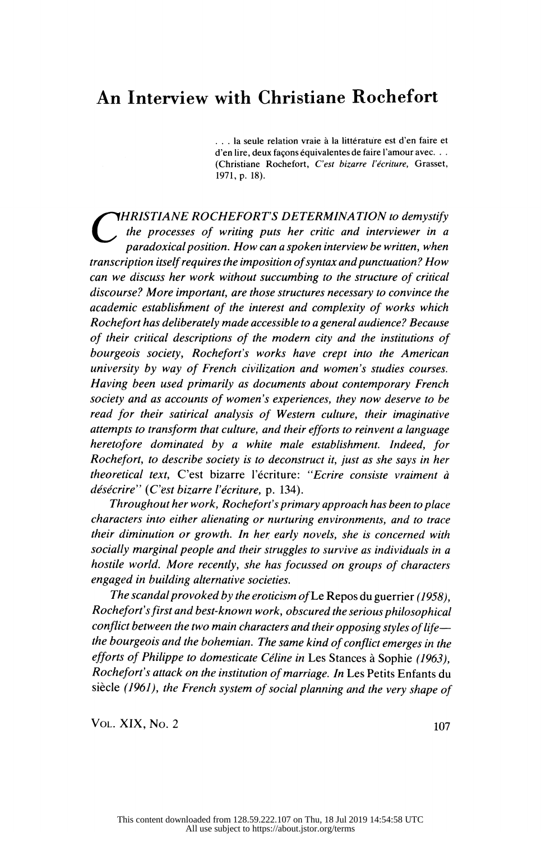# An Interview with Christiane Rochefort

 ... la seule relation vraie à la littérature est d'en faire et d'en lire, deux façons équivalentes de faire l'amour avec. . . (Christiane Rochefort, C'est bizarre l'écriture, Grasset, 1971, p. 18).

**THRISTIANE ROCHEFORT'S DETERMINATION to demystify** Ine processes of writing puts her critic and interviewer in a<br>paradoxical position. How can a spoken interview be written, when transcription itself requires the imposition of syntax and punctuation? How can we discuss her work without succumbing to the structure of critical discourse? More important, are those structures necessary to convince the academic establishment of the interest and complexity of works which Rochefort has deliberately made accessible to a general audience? Because of their critical descriptions of the modern city and the institutions of bourgeois society, Rochefort's works have crept into the American university by way of French civilization and women's studies courses. Having been used primarily as documents about contemporary French society and as accounts of women's experiences, they now deserve to be read for their satirical analysis of Western culture, their imaginative attempts to transform that culture, and their efforts to reinvent a language heretofore dominated by a white male establishment. Indeed, for Rochefort, to describe society is to deconstruct it, just as she says in her theoretical text, C'est bizarre l'écriture: "Ecrire consiste vraiment à désécrire" (C'est bizarre l'écriture, p. 134).

 Throughout her work, Rochefort's primary approach has been to place characters into either alienating or nurturing environments, and to trace their diminution or growth. In her early novels, she is concerned with socially marginal people and their struggles to survive as individuals in a hostile world. More recently, she has focussed on groups of characters engaged in building alternative societies.

The scandal provoked by the eroticism of Le Repos du guerrier (1958), Rochefort's first and best-known work, obscured the serious philosophical conflict between the two main characters and their opposing styles of life the bourgeois and the bohemian. The same kind of conflict emerges in the efforts of Philippe to domesticate Céline in Les Stances à Sophie (1963), Rochefort's attack on the institution of marriage. In Les Petits Enfants du siècle (1961), the French system of social planning and the very shape of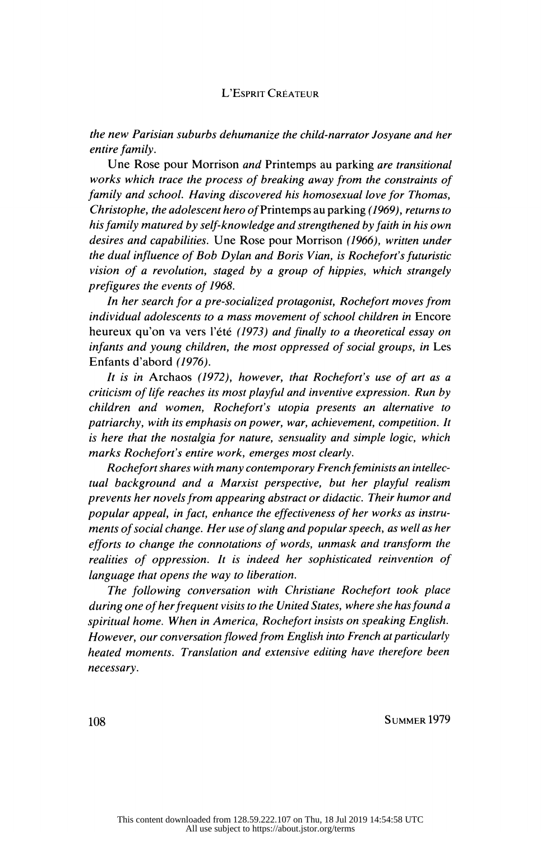#### L'Esprit Créateur

 the new Parisian suburbs dehumanize the child-narrator Josyane and her entire family.

 Une Rose pour Morrison and Printemps au parking are transitional works which trace the process of breaking away from the constraints of family and school. Having discovered his homosexual love for Thomas, Christophe, the adolescent hero of Printemps au parking (1969), returns to his family matured by self-knowledge and strengthened by faith in his own desires and capabilities. Une Rose pour Morrison (1966), written under the dual influence of Bob Dylan and Boris Vian, is Rochefort's futuristic vision of a revolution, staged by a group of hippies, which strangely prefigures the events of 1968.

 In her search for a pre-socialized protagonist, Rochefort moves from individual adolescents to a mass movement of school children in Encore heureux qu'on va vers l'été (1973) and finally to a theoretical essay on infants and young children, the most oppressed of social groups, in Les Enfants d'abord (1976).

 It is in Archaos (1972), however, that Rochefort's use of art as a criticism of life reaches its most playful and inventive expression. Run by children and women, Rochefort's utopia presents an alternative to patriarchy, with its emphasis on power, war, achievement, competition. It is here that the nostalgia for nature, sensuality and simple logic, which marks Rochefort's entire work, emerges most clearly.

 Rochefort shares with many contemporary French feminists an intellec tual background and a Marxist perspective, but her playful realism prevents her novels from appearing abstract or didactic. Their humor and popular appeal, in fact, enhance the effectiveness of her works as instru ments of social change. Her use of slang and popular speech, as well as her efforts to change the connotations of words, unmask and transform the realities of oppression. It is indeed her sophisticated reinvention of language that opens the way to liberation.

 The following conversation with Christiane Rochefort took place during one of her frequent visits to the United States, where she has found a spiritual home. When in America, Rochefort insists on speaking English. However, our conversation flowed from English into French at particularly heated moments. Translation and extensive editing have therefore been necessary.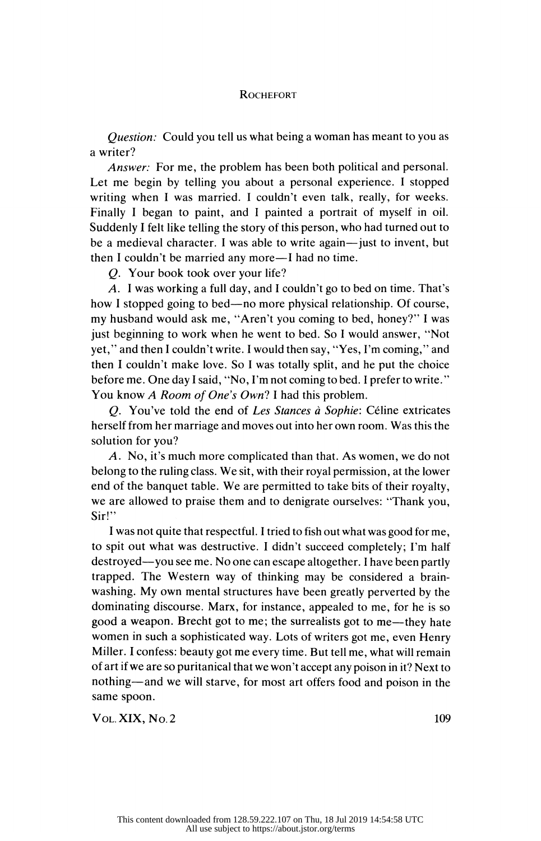Question: Could you tell us what being a woman has meant to you as a writer?

 Answer: For me, the problem has been both political and personal. Let me begin by telling you about a personal experience. I stopped writing when I was married. I couldn't even talk, really, for weeks. Finally I began to paint, and I painted a portrait of myself in oil. Suddenly I felt like telling the story of this person, who had turned out to be a medieval character. I was able to write again—just to invent, but then I couldn't be married any more—I had no time.

Q. Your book took over your life?

 A. I was working a full day, and I couldn't go to bed on time. That's how I stopped going to bed—no more physical relationship. Of course, my husband would ask me, "Aren't you coming to bed, honey?" I was just beginning to work when he went to bed. So I would answer, "Not yet," and then I couldn't write. I would then say, "Yes, I'm coming," and then I couldn't make love. So I was totally split, and he put the choice before me. One day I said, "No, I'm not coming to bed. I prefer to write." You know A Room of One's Own? I had this problem.

 Q. You've told the end of Les Stances à Sophie: Céline extricates herself from her marriage and moves out into her own room. Was this the solution for you?

 A. No, it's much more complicated than that. As women, we do not belong to the ruling class. We sit, with their royal permission, at the lower end of the banquet table. We are permitted to take bits of their royalty, we are allowed to praise them and to denigrate ourselves: "Thank you, Sir!"

 I was not quite that respectful. I tried to fish out what was good for me, to spit out what was destructive. I didn't succeed completely; I'm half destroyed—you see me. No one can escape altogether. I have been partly trapped. The Western way of thinking may be considered a brain washing. My own mental structures have been greatly perverted by the dominating discourse. Marx, for instance, appealed to me, for he is so good a weapon. Brecht got to me; the surrealists got to me—they hate women in such a sophisticated way. Lots of writers got me, even Henry Miller. I confess: beauty got me every time. But tell me, what will remain of art if we are so puritanical that we won't accept any poison in it? Next to nothing—and we will starve, for most art offers food and poison in the same spoon. Same spoon.<br>Vol. XIX, No. 2 109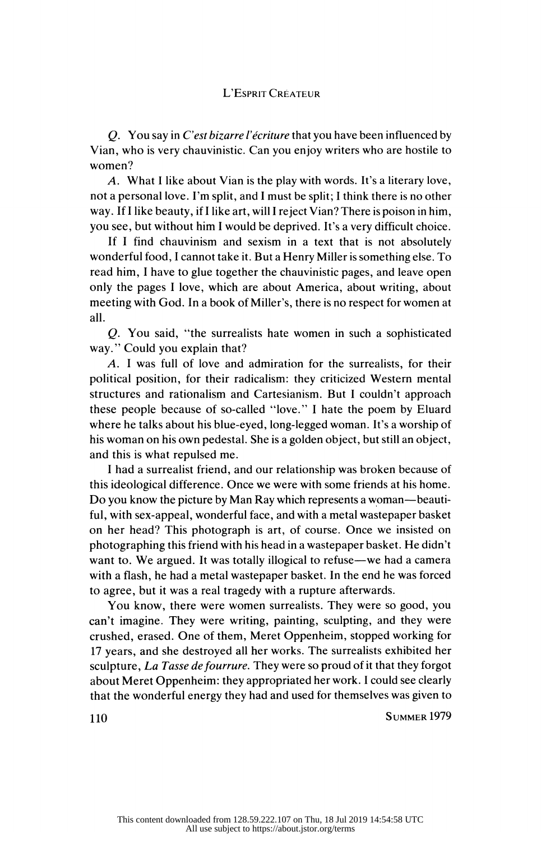Q. You say in C'est bizarre l'écriture that you have been influenced by Vian, who is very chauvinistic. Can you enjoy writers who are hostile to women?

 A. What I like about Vian is the play with words. It's a literary love, not a personal love. I'm split, and I must be split; I think there is no other way. If I like beauty, if I like art, will I reject Vian? There is poison in him, you see, but without him I would be deprived. It's a very difficult choice.

 If I find chauvinism and sexism in a text that is not absolutely wonderful food, I cannot take it. But a Henry Miller is something else. To read him, I have to glue together the chauvinistic pages, and leave open only the pages I love, which are about America, about writing, about meeting with God. In a book of Miller's, there is no respect for women at all.

 Q. You said, "the surrealists hate women in such a sophisticated way." Could you explain that?

 A. I was full of love and admiration for the surrealists, for their political position, for their radicalism: they criticized Western mental structures and rationalism and Cartesianism. But I couldn't approach these people because of so-called "love." I hate the poem by Eluard where he talks about his blue-eyed, long-legged woman. It's a worship of his woman on his own pedestal. She is a golden object, but still an object, and this is what repulsed me.

 I had a surrealist friend, and our relationship was broken because of this ideological difference. Once we were with some friends at his home. Do you know the picture by Man Ray which represents a woman—beauti ful, with sex-appeal, wonderful face, and with a metal wastepaper basket on her head? This photograph is art, of course. Once we insisted on photographing this friend with his head in a wastepaper basket. He didn't want to. We argued. It was totally illogical to refuse—we had a camera with a flash, he had a metal wastepaper basket. In the end he was forced to agree, but it was a real tragedy with a rupture afterwards.

 You know, there were women surrealists. They were so good, you can't imagine. They were writing, painting, sculpting, and they were crushed, erased. One of them, Meret Oppenheim, stopped working for 17 years, and she destroyed all her works. The surrealists exhibited her sculpture, La Tasse de fourrure. They were so proud of it that they forgot about Meret Oppenheim: they appropriated her work. I could see clearly that the wonderful energy they had and used for themselves was given to 110 Summer 1979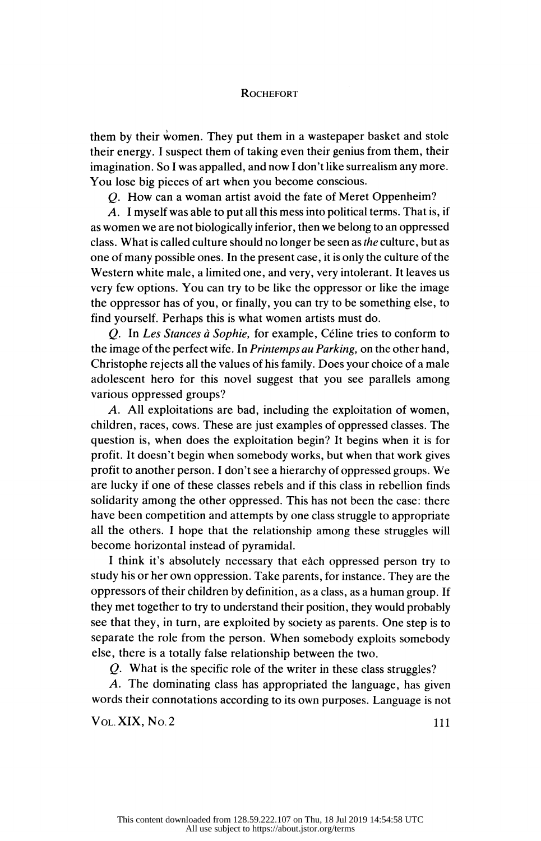them by their women. They put them in a wastepaper basket and stole their energy. I suspect them of taking even their genius from them, their imagination. So I was appalled, and now I don't like surrealism any more. You lose big pieces of art when you become conscious.

Q. How can a woman artist avoid the fate of Meret Oppenheim?

 A. I myself was able to put all this mess into political terms. That is, if as women we are not biologically inferior, then we belong to an oppressed class. What is called culture should no longer be seen as the culture, but as one of many possible ones. In the present case, it is only the culture of the Western white male, a limited one, and very, very intolerant. It leaves us very few options. You can try to be like the oppressor or like the image the oppressor has of you, or finally, you can try to be something else, to find yourself. Perhaps this is what women artists must do.

 Q. In Les Stances à Sophie, for example, Céline tries to conform to the image of the perfect wife. In Printemps au Parking, on the other hand, Christophe rejects all the values of his family. Does your choice of a male adolescent hero for this novel suggest that you see parallels among various oppressed groups?

 A. All exploitations are bad, including the exploitation of women, children, races, cows. These are just examples of oppressed classes. The question is, when does the exploitation begin? It begins when it is for profit. It doesn't begin when somebody works, but when that work gives profit to another person. I don't see a hierarchy of oppressed groups. We are lucky if one of these classes rebels and if this class in rebellion finds solidarity among the other oppressed. This has not been the case: there have been competition and attempts by one class struggle to appropriate all the others. I hope that the relationship among these struggles will become horizontal instead of pyramidal.

 I think it's absolutely necessary that eàch oppressed person try to study his or her own oppression. Take parents, for instance. They are the oppressors of their children by definition, as a class, as a human group. If they met together to try to understand their position, they would probably see that they, in turn, are exploited by society as parents. One step is to separate the role from the person. When somebody exploits somebody else, there is a totally false relationship between the two.

Q. What is the specific role of the writer in these class struggles?

 A. The dominating class has appropriated the language, has given words their connotations according to its own purposes. Language is not<br>Vol. XIX, No. 2 111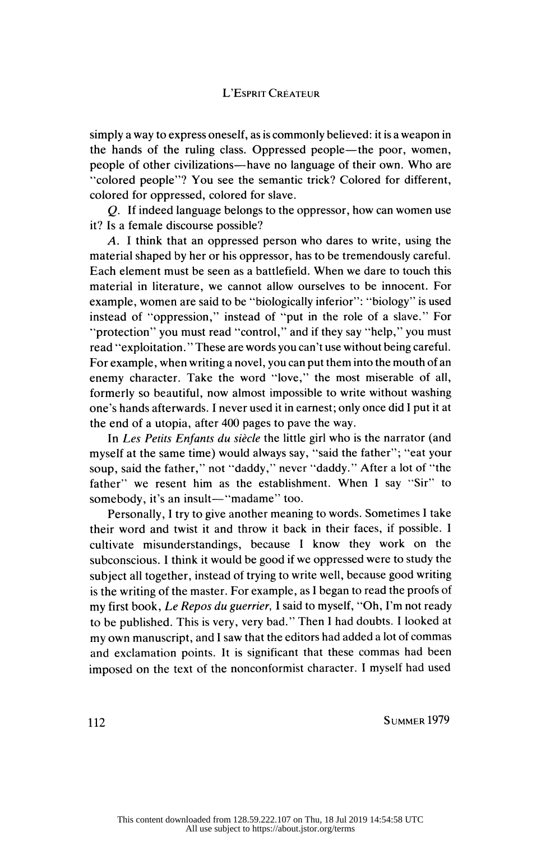simply a way to express oneself, as is commonly believed: it is a weapon in the hands of the ruling class. Oppressed people—the poor, women, people of other civilizations—have no language of their own. Who are "colored people"? You see the semantic trick? Colored for different, colored for oppressed, colored for slave.

 Q. If indeed language belongs to the oppressor, how can women use it? Is a female discourse possible?

 A. I think that an oppressed person who dares to write, using the material shaped by her or his oppressor, has to be tremendously careful. Each element must be seen as a battlefield. When we dare to touch this material in literature, we cannot allow ourselves to be innocent. For example, women are said to be "biologically inferior": "biology" is used instead of "oppression," instead of "put in the role of a slave." For "protection" you must read "control," and if they say "help," you must read "exploitation. " These are words you can't use without being careful. For example, when writing a novel, you can put them into the mouth of an enemy character. Take the word "love," the most miserable of all, formerly so beautiful, now almost impossible to write without washing one's hands afterwards. I never used it in earnest; only once did 1 put it at the end of a utopia, after 400 pages to pave the way.

In Les Petits Enfants du siècle the little girl who is the narrator (and myself at the same time) would always say, "said the father"; "eat your soup, said the father," not "daddy," never "daddy." After a lot of "the father" we resent him as the establishment. When I say "Sir" to somebody, it's an insult—"madame" too.

 Personally, I try to give another meaning to words. Sometimes I take their word and twist it and throw it back in their faces, if possible. I cultivate misunderstandings, because I know they work on the subconscious. I think it would be good if we oppressed were to study the subject all together, instead of trying to write well, because good writing is the writing of the master. For example, as I began to read the proofs of my first book, Le Repos du guerrier, 1 said to myself, "Oh, I'm not ready to be published. This is very, very bad." Then I had doubts. 1 looked at my own manuscript, and I saw that the editors had added a lot of commas and exclamation points. It is significant that these commas had been imposed on the text of the nonconformist character. I myself had used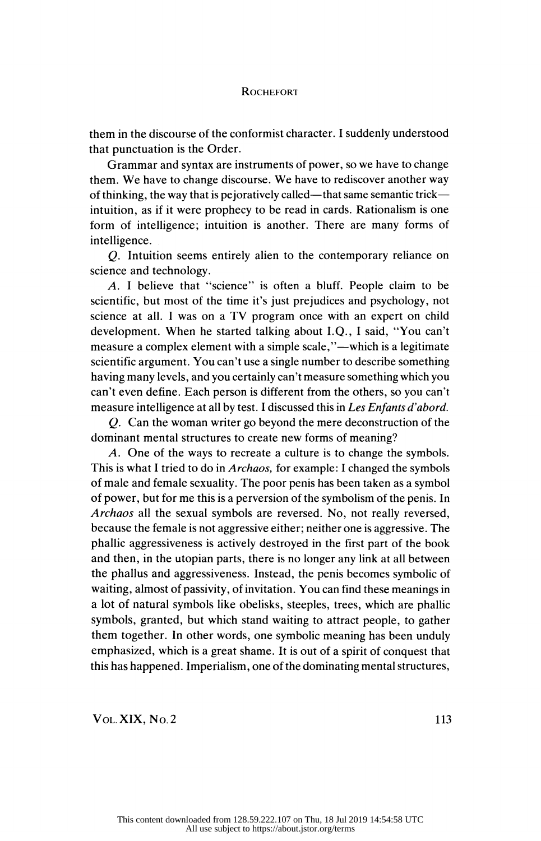them in the discourse of the conformist character. I suddenly understood that punctuation is the Order.

 Grammar and syntax are instruments of power, so we have to change them. We have to change discourse. We have to rediscover another way of thinking, the way that is pejoratively called—that same semantic trick intuition, as if it were prophecy to be read in cards. Rationalism is one form of intelligence; intuition is another. There are many forms of intelligence.

 Q. Intuition seems entirely alien to the contemporary reliance on science and technology.

 A. I believe that "science" is often a bluff. People claim to be scientific, but most of the time it's just prejudices and psychology, not science at all. I was on a TV program once with an expert on child development. When he started talking about I.Q., I said, "You can't measure a complex element with a simple scale,"—which is a legitimate scientific argument. You can't use a single number to describe something having many levels, and you certainly can't measure something which you can't even define. Each person is different from the others, so you can't measure intelligence at all by test. I discussed this in Les Enfants d'abord.

 Q. Can the woman writer go beyond the mere deconstruction of the dominant mental structures to create new forms of meaning?

 A. One of the ways to recreate a culture is to change the symbols. This is what I tried to do in Archaos, for example: I changed the symbols of male and female sexuality. The poor penis has been taken as a symbol of power, but for me this is a perversion of the symbolism of the penis. In Archaos all the sexual symbols are reversed. No, not really reversed, because the female is not aggressive either; neither one is aggressive. The phallic aggressiveness is actively destroyed in the first part of the book and then, in the utopian parts, there is no longer any link at all between the phallus and aggressiveness. Instead, the penis becomes symbolic of waiting, almost of passivity, of invitation. You can find these meanings in a lot of natural symbols like obelisks, steeples, trees, which are phallic symbols, granted, but which stand waiting to attract people, to gather them together. In other words, one symbolic meaning has been unduly emphasized, which is a great shame. It is out of a spirit of conquest that this has happened. Imperialism, one of the dominating mental structures,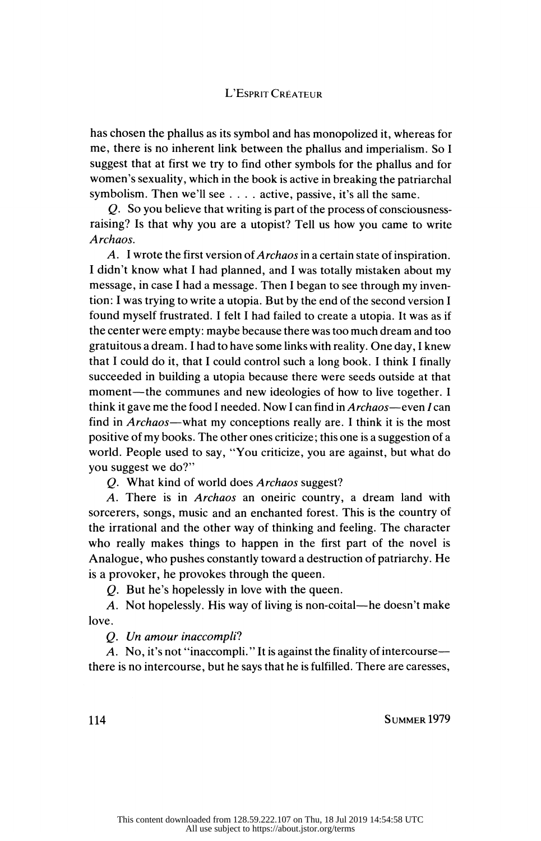# L'Esprit Créateur

 has chosen the phallus as its symbol and has monopolized it, whereas for me, there is no inherent link between the phallus and imperialism. So I suggest that at first we try to find other symbols for the phallus and for women's sexuality, which in the book is active in breaking the patriarchal symbolism. Then we'll see .... active, passive, it's all the same.

 Q. So you believe that writing is part of the process of consciousness raising? Is that why you are a utopist? Tell us how you came to write Archaos.

A. I wrote the first version of *Archaos* in a certain state of inspiration. I didn't know what I had planned, and I was totally mistaken about my message, in case I had a message. Then I began to see through my inven tion: I was trying to write a utopia. But by the end of the second version I found myself frustrated. I felt I had failed to create a utopia. It was as if the center were empty: maybe because there was too much dream and too gratuitous a dream. I had to have some links with reality. One day, I knew that I could do it, that I could control such a long book. I think I finally succeeded in building a utopia because there were seeds outside at that moment—the communes and new ideologies of how to live together. I think it gave me the food I needed. Now I can find in Archaos—even / can find in Archaos—what my conceptions really are. I think it is the most positive of my books. The other ones criticize; this one is a suggestion of a world. People used to say, "You criticize, you are against, but what do you suggest we do?"

Q. What kind of world does Archaos suggest?

 A. There is in Archaos an oneiric country, a dream land with sorcerers, songs, music and an enchanted forest. This is the country of the irrational and the other way of thinking and feeling. The character who really makes things to happen in the first part of the novel is Analogue, who pushes constantly toward a destruction of patriarchy. He is a provoker, he provokes through the queen.

Q. But he's hopelessly in love with the queen.

 A. Not hopelessly. His way of living is non-coital—he doesn't make love.

Q. Un amour inaccompli?

 A. No, it's not "inaccompli. " It is against the finality of intercourse there is no intercourse, but he says that he is fulfilled. There are caresses,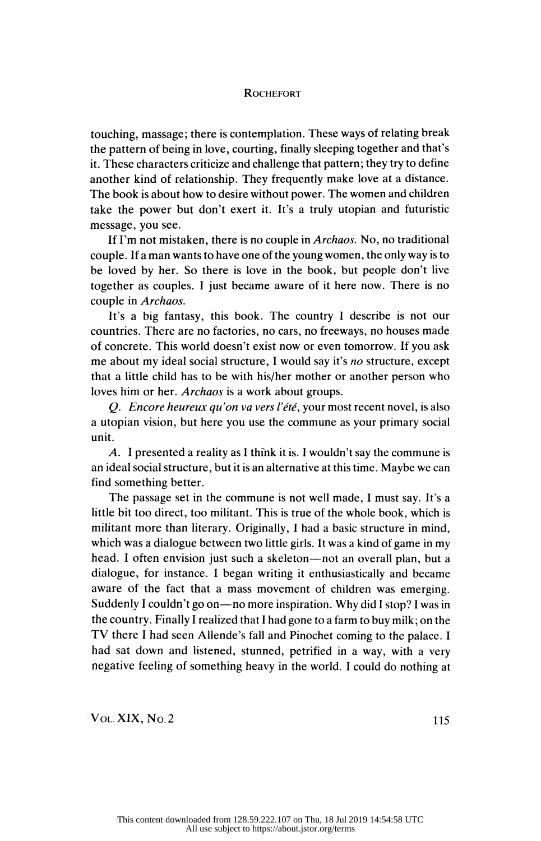touching, massage; there is contemplation. These ways of relating break the pattern of being in love, courting, finally sleeping together and that's it. These characters criticize and challenge that pattern; they try to define another kind of relationship. They frequently make love at a distance. The book is about how to desire without power. The women and children take the power but don't exert it. It's a truly utopian and futuristic message, you see.

If I'm not mistaken, there is no couple in Archaos. No, no traditional couple. If a man wants to have one of the young women, the only way is to be loved by her. So there is love in the book, but people don't live together as couples. I just became aware of it here now. There is no couple in Archaos.

 It's a big fantasy, this book. The country I describe is not our countries. There are no factories, no cars, no freeways, no houses made of concrete. This world doesn't exist now or even tomorrow. If you ask me about my ideal social structure, I would say it's no structure, except that a little child has to be with his/her mother or another person who loves him or her. Archaos is a work about groups.

Q. Encore heureux qu'on va vers l'été, your most recent novel, is also a Utopian vision, but here you use the commune as your primary social unit.

 A. I presented a reality as I think it is. I wouldn't say the commune is an ideal social structure, but it is an alternative at this time. Maybe we can find something better.

 The passage set in the commune is not well made, I must say. It's a little bit too direct, too militant. This is true of the whole book, which is militant more than literary. Originally, I had a basic structure in mind, which was a dialogue between two little girls. It was a kind of game in my head. I often envision just such a skeleton—not an overall plan, but a dialogue, for instance. I began writing it enthusiastically and became aware of the fact that a mass movement of children was emerging. Suddenly I couldn't go on—no more inspiration. Why did I stop? I was in the country. Finally I realized that I had gone to a farm to buy milk ; on the TV there I had seen Allende's fall and Pinochet coming to the palace. I had sat down and listened, stunned, petrified in a way, with a very negative feeling of something heavy in the world. I could do nothing at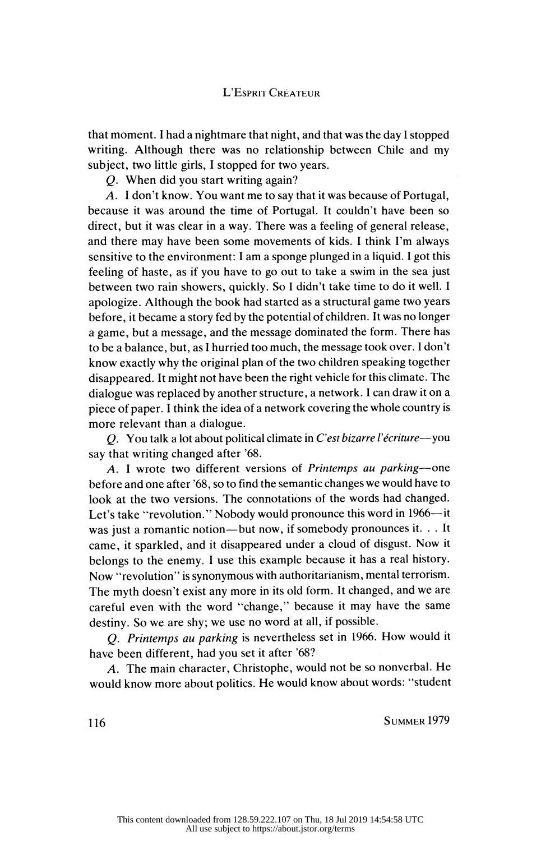that moment. I had a nightmare that night, and that was the day I stopped writing. Although there was no relationship between Chile and my subject, two little girls, I stopped for two years.

Q. When did you start writing again?

 A. I don't know. You want me to say that it was because of Portugal, because it was around the time of Portugal. It couldn't have been so direct, but it was clear in a way. There was a feeling of general release, and there may have been some movements of kids. I think I'm always sensitive to the environment: I am a sponge plunged in a liquid. I got this feeling of haste, as if you have to go out to take a swim in the sea just between two rain showers, quickly. So I didn't take time to do it well. I apologize. Although the book had started as a structural game two years before, it became a story fed by the potential of children. It was no longer a game, but a message, and the message dominated the form. There has to be a balance, but, as I hurried too much, the message took over. 1 don't know exactly why the original plan of the two children speaking together disappeared. It might not have been the right vehicle for this climate. The dialogue was replaced by another structure, a network. I can draw it on a piece of paper. I think the idea of a network covering the whole country is more relevant than a dialogue.

 Q. You talk a lot about political climate in C'est bizarre l'écriture—you say that writing changed after '68.

 A. I wrote two different versions of Printemps au parking—one before and one after '68, so to find the semantic changes we would have to look at the two versions. The connotations of the words had changed. Let's take "revolution." Nobody would pronounce this word in 1966—it was just a romantic notion—but now, if somebody pronounces it. . . It came, it sparkled, and it disappeared under a cloud of disgust. Now it belongs to the enemy. I use this example because it has a real history. Now "revolution" is synonymous with authoritarianism, mental terrorism. The myth doesn't exist any more in its old form. It changed, and we are careful even with the word "change," because it may have the same destiny. So we are shy; we use no word at all, if possible.

 Q. Printemps au parking is nevertheless set in 1966. How would it have been different, had you set it after '68?

 A. The main character, Christophe, would not be so nonverbal. He would know more about politics. He would know about words: "student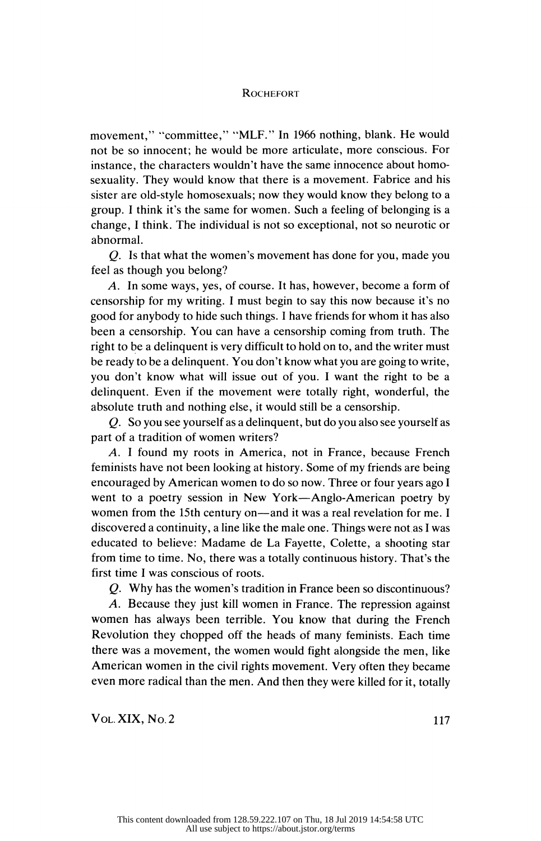movement," "committee," "MLF." In 1966 nothing, blank. He would not be so innocent; he would be more articulate, more conscious. For instance, the characters wouldn't have the same innocence about homo sexuality. They would know that there is a movement. Fabrice and his sister are old-style homosexuals; now they would know they belong to a group. I think it's the same for women. Such a feeling of belonging is a change, I think. The individual is not so exceptional, not so neurotic or abnormal.

 Q. Is that what the women's movement has done for you, made you feel as though you belong?

 A. In some ways, yes, of course. It has, however, become a form of censorship for my writing. I must begin to say this now because it's no good for anybody to hide such things. I have friends for whom it has also been a censorship. You can have a censorship coming from truth. The right to be a delinquent is very difficult to hold on to, and the writer must be ready to be a delinquent. You don't know what you are going to write, you don't know what will issue out of you. I want the right to be a delinquent. Even if the movement were totally right, wonderful, the absolute truth and nothing else, it would still be a censorship.

 Q. So you see yourself as a delinquent, but do you also see yourself as part of a tradition of women writers?

 A. I found my roots in America, not in France, because French feminists have not been looking at history. Some of my friends are being encouraged by American women to do so now. Three or four years ago I went to a poetry session in New York—Anglo-American poetry by women from the 15th century on—and it was a real revelation for me. I discovered a continuity, a line like the male one. Things were not as I was educated to believe: Madame de La Fayette, Colette, a shooting star from time to time. No, there was a totally continuous history. That's the first time I was conscious of roots.

Q. Why has the women's tradition in France been so discontinuous?

 A. Because they just kill women in France. The repression against women has always been terrible. You know that during the French Revolution they chopped off the heads of many feminists. Each time there was a movement, the women would fight alongside the men, like American women in the civil rights movement. Very often they became even more radical than the men. And then they were killed for it, totally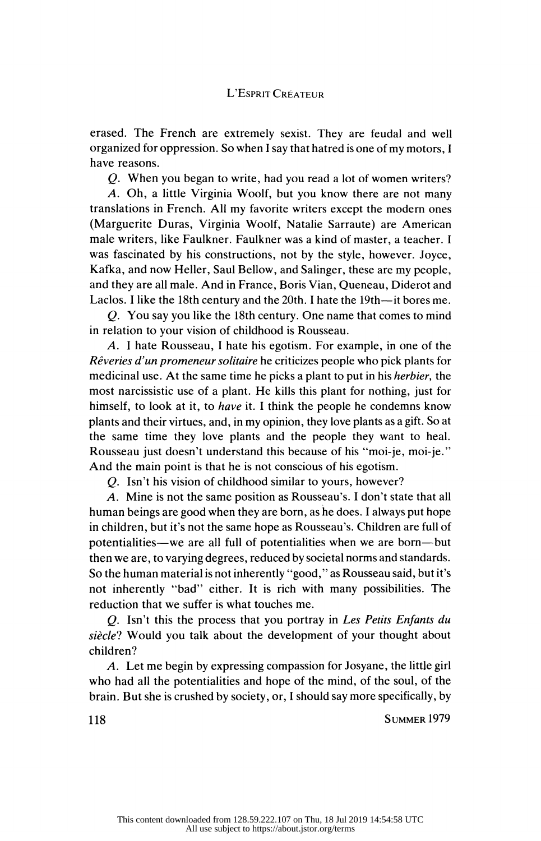erased. The French are extremely sexist. They are feudal and well organized for oppression. So when I say that hatred is one of my motors, I have reasons.

Q. When you began to write, had you read a lot of women writers?

 A. Oh, a little Virginia Woolf, but you know there are not many translations in French. All my favorite writers except the modern ones (Marguerite Duras, Virginia Woolf, Natalie Sarraute) are American male writers, like Faulkner. Faulkner was a kind of master, a teacher. I was fascinated by his constructions, not by the style, however. Joyce, Kafka, and now Heller, Saul Bellow, and Salinger, these are my people, and they are all male. And in France, Boris Vian, Queneau, Diderot and Laclos. I like the 18th century and the 20th. I hate the 19th—it bores me.

 Q. You say you like the 18th century. One name that comes to mind in relation to your vision of childhood is Rousseau.

 A. I hate Rousseau, I hate his egotism. For example, in one of the Rêveries d'un promeneur solitaire he criticizes people who pick plants for medicinal use. At the same time he picks a plant to put in his herbier, the most narcissistic use of a plant. He kills this plant for nothing, just for himself, to look at it, to have it. I think the people he condemns know plants and their virtues, and, in my opinion, they love plants as a gift. So at the same time they love plants and the people they want to heal. Rousseau just doesn't understand this because of his "moi-je, moi-je." And the main point is that he is not conscious of his egotism.

Q. Isn't his vision of childhood similar to yours, however?

 A. Mine is not the same position as Rousseau's. I don't state that all human beings are good when they are born, as he does. I always put hope in children, but it's not the same hope as Rousseau's. Children are full of potentialities—we are all full of potentialities when we are born—but then we are, to varying degrees, reduced by societal norms and standards. So the human material is not inherently "good," as Rousseau said, but it's not inherently "bad" either. It is rich with many possibilities. The reduction that we suffer is what touches me.

 Q. Isn't this the process that you portray in Les Petits Enfants du siècle? Would you talk about the development of your thought about children?

 A. Let me begin by expressing compassion for Josyane, the little girl who had all the potentialities and hope of the mind, of the soul, of the brain. But she is crushed by society, or, I should say more specifically, by<br>118 SUMMER 1979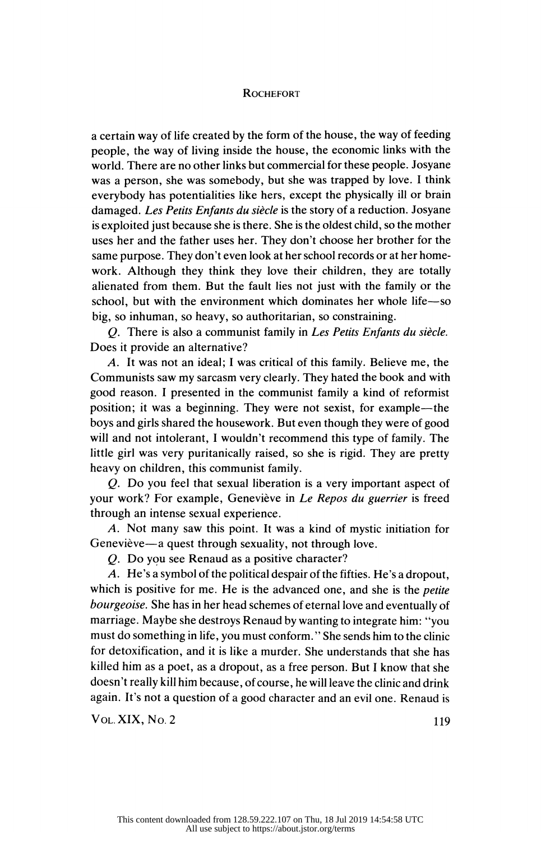a certain way of life created by the form of the house, the way of feeding people, the way of living inside the house, the economic links with the world. There are no other links but commercial for these people. Josyane was a person, she was somebody, but she was trapped by love. I think everybody has potentialities like hers, except the physically ill or brain damaged. Les Petits Enfants du siècle is the story of a reduction. Josyane is exploited just because she is there. She is the oldest child, so the mother uses her and the father uses her. They don't choose her brother for the same purpose. They don't even look at her school records or at her home work. Although they think they love their children, they are totally alienated from them. But the fault lies not just with the family or the school, but with the environment which dominates her whole life—so big, so inhuman, so heavy, so authoritarian, so constraining.

 Q. There is also a communist family in Les Petits Enfants du siècle. Does it provide an alternative?

 A. It was not an ideal; I was critical of this family. Believe me, the Communists saw my sarcasm very clearly. They hated the book and with good reason. I presented in the communist family a kind of reformist position; it was a beginning. They were not sexist, for example—the boys and girls shared the housework. But even though they were of good will and not intolerant, I wouldn't recommend this type of family. The little girl was very puritanically raised, so she is rigid. They are pretty heavy on children, this communist family.

 Q. Do you feel that sexual liberation is a very important aspect of your work? For example, Geneviève in Le Repos du guerrier is freed through an intense sexual experience.

 A. Not many saw this point. It was a kind of mystic initiation for Geneviève—a quest through sexuality, not through love.

Q. Do you see Renaud as a positive character?

 A. He's a symbol of the political despair of the fifties. He's a dropout, which is positive for me. He is the advanced one, and she is the *petite*  bourgeoise. She has in her head schemes of eternal love and eventually of marriage. Maybe she destroys Renaud by wanting to integrate him: "you must do something in life, you must conform. " She sends him to the clinic for detoxification, and it is like a murder. She understands that she has killed him as a poet, as a dropout, as a free person. But I know that she doesn't really kill him because, of course, he will leave the clinic and drink again. It's not a question of a good character and an evil one. Renaud is<br>Vol. XIX, No. 2 119